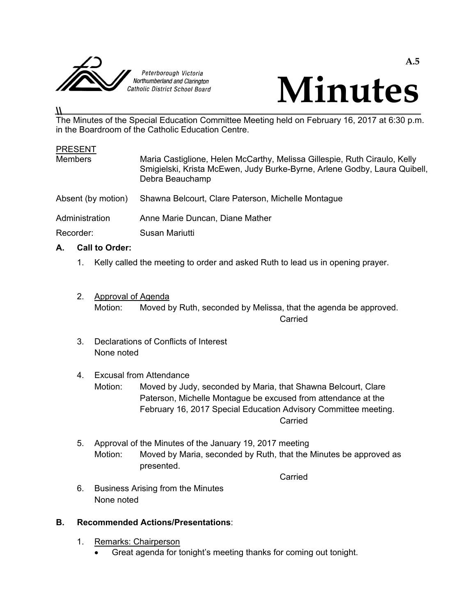



# **\\**

The Minutes of the Special Education Committee Meeting held on February 16, 2017 at 6:30 p.m. in the Boardroom of the Catholic Education Centre.

#### **PRESENT**

| <b>Members</b>     | Maria Castiglione, Helen McCarthy, Melissa Gillespie, Ruth Ciraulo, Kelly<br>Smigielski, Krista McEwen, Judy Burke-Byrne, Arlene Godby, Laura Quibell,<br>Debra Beauchamp |
|--------------------|---------------------------------------------------------------------------------------------------------------------------------------------------------------------------|
| Absent (by motion) | Shawna Belcourt, Clare Paterson, Michelle Montague                                                                                                                        |
| Administration     | Anne Marie Duncan, Diane Mather                                                                                                                                           |
| Recorder:          | Susan Mariutti                                                                                                                                                            |

## **A. Call to Order:**

- 1. Kelly called the meeting to order and asked Ruth to lead us in opening prayer.
- 2. Approval of Agenda Motion: Moved by Ruth, seconded by Melissa, that the agenda be approved. **Carried** Carried Carried Carried Carried Carried Carried Carried Carried Carried Carried Carried Carried Carried Carried Carried Carried Carried Carried Carried Carried Carried Carried Carried Carried Carried Carried Carr
	- 3. Declarations of Conflicts of Interest None noted

### 4. Excusal from Attendance

 Motion: Moved by Judy, seconded by Maria, that Shawna Belcourt, Clare Paterson, Michelle Montague be excused from attendance at the February 16, 2017 Special Education Advisory Committee meeting. **Carried** Carried Carried Carried Carried Carried Carried Carried Carried Carried Carried Carried Carried Carried Carried Carried Carried Carried Carried Carried Carried Carried Carried Carried Carried Carried Carried Carr

 5. Approval of the Minutes of the January 19, 2017 meeting Motion: Moved by Maria, seconded by Ruth, that the Minutes be approved as presented.

**Carried Carried Carried Carried Carried Carried Carried Carried Carried Carried Carried Carried Carried Carried Carried Carried Carried Carried Carried Carried Carried Carried Carried Carried Carried Carried Carried Carri** 

 6. Business Arising from the Minutes None noted

## **B. Recommended Actions/Presentations**:

- 1. Remarks: Chairperson
	- Great agenda for tonight's meeting thanks for coming out tonight.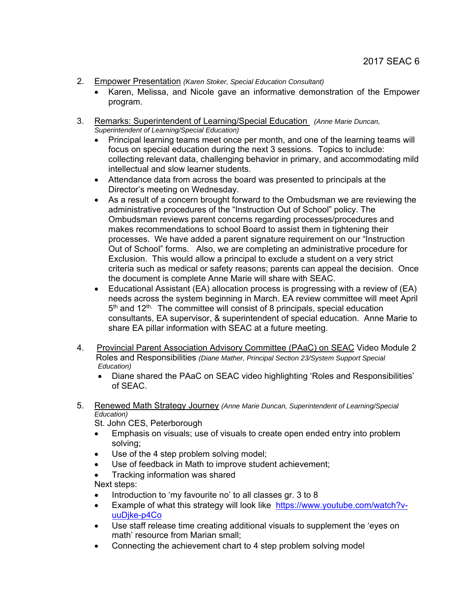- 2. Empower Presentation *(Karen Stoker, Special Education Consultant)* 
	- Karen, Melissa, and Nicole gave an informative demonstration of the Empower program.
- 3. Remarks: Superintendent of Learning/Special Education *(Anne Marie Duncan, Superintendent of Learning/Special Education)*
	- Principal learning teams meet once per month, and one of the learning teams will focus on special education during the next 3 sessions. Topics to include: collecting relevant data, challenging behavior in primary, and accommodating mild intellectual and slow learner students.
	- Attendance data from across the board was presented to principals at the Director's meeting on Wednesday.
	- As a result of a concern brought forward to the Ombudsman we are reviewing the administrative procedures of the "Instruction Out of School" policy. The Ombudsman reviews parent concerns regarding processes/procedures and makes recommendations to school Board to assist them in tightening their processes. We have added a parent signature requirement on our "Instruction Out of School" forms. Also, we are completing an administrative procedure for Exclusion. This would allow a principal to exclude a student on a very strict criteria such as medical or safety reasons; parents can appeal the decision. Once the document is complete Anne Marie will share with SEAC.
	- Educational Assistant (EA) allocation process is progressing with a review of (EA) needs across the system beginning in March. EA review committee will meet April 5<sup>th</sup> and 12<sup>th.</sup> The committee will consist of 8 principals, special education consultants, EA supervisor, & superintendent of special education. Anne Marie to share EA pillar information with SEAC at a future meeting.
- 4. Provincial Parent Association Advisory Committee (PAaC) on SEAC Video Module 2 Roles and Responsibilities *(Diane Mather, Principal Section 23/System Support Special Education)*
	- Diane shared the PAaC on SEAC video highlighting 'Roles and Responsibilities' of SEAC.
- 5. Renewed Math Strategy Journey *(Anne Marie Duncan, Superintendent of Learning/Special Education)*

St. John CES, Peterborough

- Emphasis on visuals; use of visuals to create open ended entry into problem solving;
- Use of the 4 step problem solving model;
- Use of feedback in Math to improve student achievement;
- Tracking information was shared

Next steps:

- Introduction to 'my favourite no' to all classes gr. 3 to 8
- Example of what this strategy will look like https://www.youtube.com/watch?vuuDjke-p4Co
- Use staff release time creating additional visuals to supplement the 'eyes on math' resource from Marian small;
- Connecting the achievement chart to 4 step problem solving model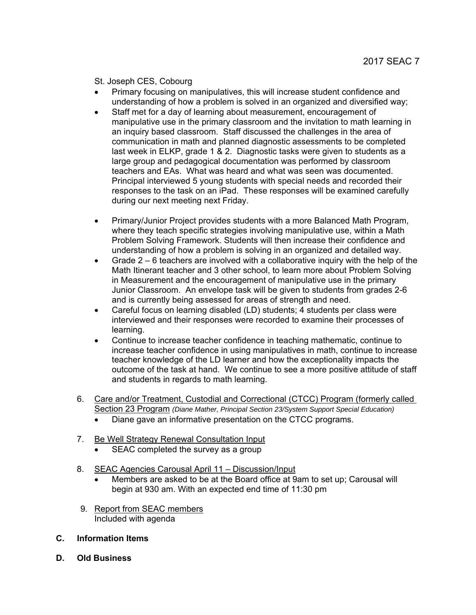St. Joseph CES, Cobourg

- Primary focusing on manipulatives, this will increase student confidence and understanding of how a problem is solved in an organized and diversified way;
- Staff met for a day of learning about measurement, encouragement of manipulative use in the primary classroom and the invitation to math learning in an inquiry based classroom. Staff discussed the challenges in the area of communication in math and planned diagnostic assessments to be completed last week in ELKP, grade 1 & 2. Diagnostic tasks were given to students as a large group and pedagogical documentation was performed by classroom teachers and EAs. What was heard and what was seen was documented. Principal interviewed 5 young students with special needs and recorded their responses to the task on an iPad. These responses will be examined carefully during our next meeting next Friday.
- Primary/Junior Project provides students with a more Balanced Math Program, where they teach specific strategies involving manipulative use, within a Math Problem Solving Framework. Students will then increase their confidence and understanding of how a problem is solving in an organized and detailed way.
- Grade  $2 6$  teachers are involved with a collaborative inquiry with the help of the Math Itinerant teacher and 3 other school, to learn more about Problem Solving in Measurement and the encouragement of manipulative use in the primary Junior Classroom. An envelope task will be given to students from grades 2-6 and is currently being assessed for areas of strength and need.
- Careful focus on learning disabled (LD) students; 4 students per class were interviewed and their responses were recorded to examine their processes of learning.
- Continue to increase teacher confidence in teaching mathematic, continue to increase teacher confidence in using manipulatives in math, continue to increase teacher knowledge of the LD learner and how the exceptionality impacts the outcome of the task at hand. We continue to see a more positive attitude of staff and students in regards to math learning.
- 6. Care and/or Treatment, Custodial and Correctional (CTCC) Program (formerly called Section 23 Program *(Diane Mather, Principal Section 23/System Support Special Education)* 
	- Diane gave an informative presentation on the CTCC programs.
- 7. Be Well Strategy Renewal Consultation Input
	- SEAC completed the survey as a group
- 8. SEAC Agencies Carousal April 11 Discussion/Input
	- Members are asked to be at the Board office at 9am to set up; Carousal will begin at 930 am. With an expected end time of 11:30 pm
- 9. Report from SEAC members Included with agenda
- **C. Information Items**
- **D. Old Business**